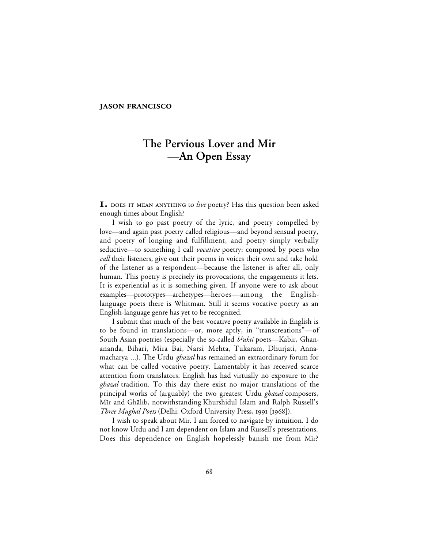#### **JASON FRANCISCO**

# **The Pervious Lover and Mir —An Open Essay**

**I.** DOES IT MEAN ANYTHING to live poetry? Has this question been asked enough times about English?

I wish to go past poetry of the lyric, and poetry compelled by love—and again past poetry called religious—and beyond sensual poetry, and poetry of longing and fulfillment, and poetry simply verbally seductive—to something I call *vocative* poetry: composed by poets who *call* their listeners, give out their poems in voices their own and take hold of the listener as a respondent—because the listener is after all, only human. This poetry is precisely its provocations, the engagements it lets. It is experiential as it is something given. If anyone were to ask about examples—prototypes—archetypes—heroes—among the Englishlanguage poets there is Whitman. Still it seems vocative poetry as an English-language genre has yet to be recognized.

I submit that much of the best vocative poetry available in English is to be found in translations—or, more aptly, in "transcreations"—of South Asian poetries (especially the so-called *bhakti* poets—Kabir, Ghanananda, Bihari, Mira Bai, Narsi Mehta, Tukaram, Dhurjati, Annamacharya ...). The Urdu *ghazal* has remained an extraordinary forum for what can be called vocative poetry. Lamentably it has received scarce attention from translators. English has had virtually no exposure to the *ghazal* tradition. To this day there exist no major translations of the principal works of (arguably) the two greatest Urdu *ghazal* composers, Mir and Ghālib, notwithstanding Khurshidul Islam and Ralph Russell's *Three Mughal Poets* (Delhi: Oxford University Press, 1991 [1968]).

I wish to speak about Mir. I am forced to navigate by intuition. I do not know Urdu and I am dependent on Islam and Russell's presentations. Does this dependence on English hopelessly banish me from Mir?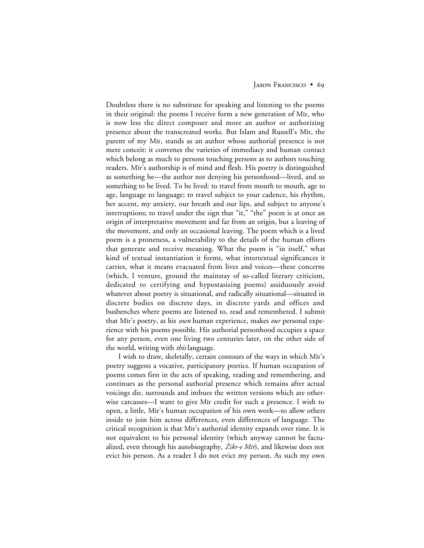#### JASON FRANCISCO • 69

Doubtless there is no substitute for speaking and listening to the poems in their original: the poems I receive form a new generation of Mir, who is now less the direct composer and more an author or authorizing presence about the transcreated works. But Islam and Russell's Mir, the parent of my Mir, stands as an author whose authorial presence is not mere conceit: it convenes the varieties of immediacy and human contact which belong as much to persons touching persons as to authors touching readers. Mir's authorship is of mind and flesh. His poetry is distinguished as something he—the author not denying his personhood—lived, and so something to be lived. To be lived: to travel from mouth to mouth, age to age, language to language; to travel subject to your cadence, his rhythm, her accent, my anxiety, our breath and our lips, and subject to anyone's interruptions; to travel under the sign that "it," "the" poem is at once an origin of interpretative movement and far from an origin, but a leaving of the movement, and only an occasional leaving. The poem which is a lived poem is a proneness, a vulnerability to the details of the human efforts that generate and receive meaning. What the poem is "in itself," what kind of textual instantiation it forms, what intertextual significances it carries, what it means evacuated from lives and voices—these concerns (which, I venture, ground the mainstay of so-called literary criticism, dedicated to certifying and hypostasizing poems) assiduously avoid whatever about poetry is situational, and radically situational—situated in discrete bodies on discrete days, in discrete yards and offices and busbenches where poems are listened to, read and remembered. I submit that Mir's poetry, as his *own* human experience, makes *our* personal experience with his poems possible. His authorial personhood occupies a space for any person, even one living two centuries later, on the other side of the world, writing with *this* language.

I wish to draw, skeletally, certain contours of the ways in which Mīr's poetry suggests a vocative, participatory poetics. If human occupation of poems comes first in the acts of speaking, reading and remembering, and continues as the personal authorial presence which remains after actual voicings die, surrounds and imbues the written versions which are otherwise carcasses—I want to give Mir credit for such a presence. I wish to open, a little, Mir's human occupation of his own work—to allow others inside to join him across differences, even differences of language. The critical recognition is that Mµr's authorial identity expands over time. It is not equivalent to his personal identity (which anyway cannot be factualized, even through his autobiography,  $\dot{Z}$ *ikr-e Mir*), and likewise does not evict his person. As a reader I do not evict my person. As such my own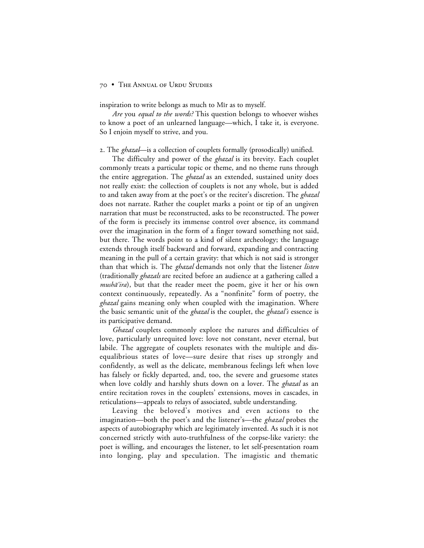inspiration to write belongs as much to M<sub>I</sub> as to myself.

*Are* you *equal to the words?* This question belongs to whoever wishes to know a poet of an unlearned language—which, I take it, is everyone. So I enjoin myself to strive, and you.

. The *ghazal*—is a collection of couplets formally (prosodically) unified.

The difficulty and power of the *ghazal* is its brevity. Each couplet commonly treats a particular topic or theme, and no theme runs through the entire aggregation. The *ghazal* as an extended, sustained unity does not really exist: the collection of couplets is not any whole, but is added to and taken away from at the poet's or the reciter's discretion. The *ghazal* does not narrate. Rather the couplet marks a point or tip of an ungiven narration that must be reconstructed, asks to be reconstructed. The power of the form is precisely its immense control over absence, its command over the imagination in the form of a finger toward something not said, but there. The words point to a kind of silent archeology; the language extends through itself backward and forward, expanding and contracting meaning in the pull of a certain gravity: that which is not said is stronger than that which is. The *ghazal* demands not only that the listener *listen* (traditionally *ghazals* are recited before an audience at a gathering called a musha<sup>'</sup>ira), but that the reader meet the poem, give it her or his own context continuously, repeatedly. As a "nonfinite" form of poetry, the *ghazal* gains meaning only when coupled with the imagination. Where the basic semantic unit of the *ghazal* is the couplet, the *ghazal's* essence is its participative demand.

*Ghazal* couplets commonly explore the natures and difficulties of love, particularly unrequited love: love not constant, never eternal, but labile. The aggregate of couplets resonates with the multiple and disequalibrious states of love—sure desire that rises up strongly and confidently, as well as the delicate, membranous feelings left when love has falsely or fickly departed, and, too, the severe and gruesome states when love coldly and harshly shuts down on a lover. The *ghazal* as an entire recitation roves in the couplets' extensions, moves in cascades, in reticulations—appeals to relays of associated, subtle understanding.

Leaving the beloved's motives and even actions to the imagination—both the poet's and the listener's—the *ghazal* probes the aspects of autobiography which are legitimately invented. As such it is not concerned strictly with auto-truthfulness of the corpse-like variety: the poet is willing, and encourages the listener, to let self-presentation roam into longing, play and speculation. The imagistic and thematic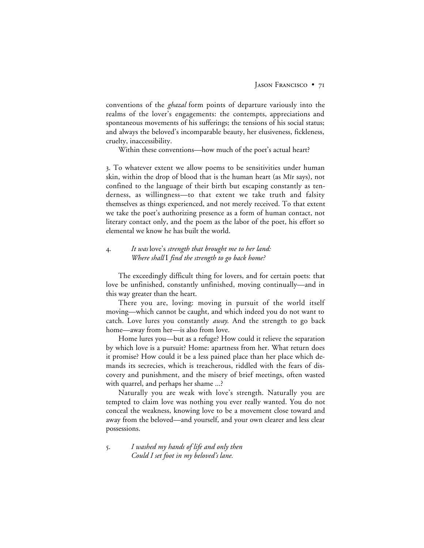conventions of the *ghazal* form points of departure variously into the realms of the lover's engagements: the contempts, appreciations and spontaneous movements of his sufferings; the tensions of his social status; and always the beloved's incomparable beauty, her elusiveness, fickleness, cruelty, inaccessibility.

Within these conventions—how much of the poet's actual heart?

. To whatever extent we allow poems to be sensitivities under human skin, within the drop of blood that is the human heart (as Mīr says), not confined to the language of their birth but escaping constantly as tenderness, as willingness—to that extent we take truth and falsity themselves as things experienced, and not merely received. To that extent we take the poet's authorizing presence as a form of human contact, not literary contact only, and the poem as the labor of the poet, his effort so elemental we know he has built the world.

# . *It was* love's *strength that brought me to her land: Where shall* I *find the strength to go back home?*

The exceedingly difficult thing for lovers, and for certain poets: that love be unfinished, constantly unfinished, moving continually—and in this way greater than the heart.

There you are, loving: moving in pursuit of the world itself moving—which cannot be caught, and which indeed you do not want to catch. Love lures you constantly *away*. And the strength to go back home—away from her—is also from love.

Home lures you—but as a refuge? How could it relieve the separation by which love is a pursuit? Home: apartness from her. What return does it promise? How could it be a less pained place than her place which demands its secrecies, which is treacherous, riddled with the fears of discovery and punishment, and the misery of brief meetings, often wasted with quarrel, and perhaps her shame ...?

Naturally you are weak with love's strength. Naturally you are tempted to claim love was nothing you ever really wanted. You do not conceal the weakness, knowing love to be a movement close toward and away from the beloved—and yourself, and your own clearer and less clear possessions.

. *I washed my hands of life and only then Could I set foot in my beloved's lane.*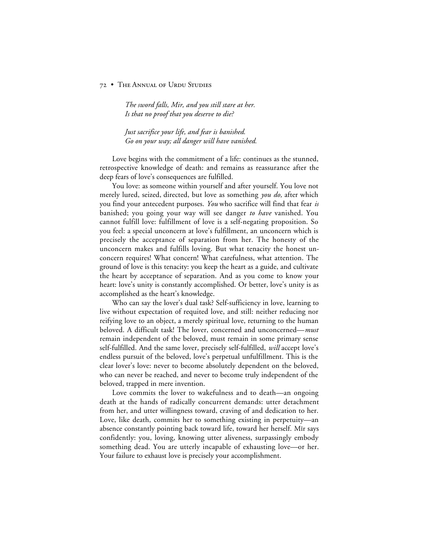*The sword falls, Mir, and you still stare at her. Is that no proof that you deserve to die?*

*Just sacrifice your life, and fear is banished. Go on your way; all danger will have vanished.*

Love begins with the commitment of a life: continues as the stunned, retrospective knowledge of death: and remains as reassurance after the deep fears of love's consequences are fulfilled.

You love: as someone within yourself and after yourself. You love not merely lured, seized, directed, but love as something *you do,* after which you find your antecedent purposes. *You* who sacrifice will find that fear *is* banished; you going your way will see danger *to have* vanished. You cannot fulfill love: fulfillment of love is a self-negating proposition. So you feel: a special unconcern at love's fulfillment, an unconcern which is precisely the acceptance of separation from her. The honesty of the unconcern makes and fulfills loving. But what tenacity the honest unconcern requires! What concern! What carefulness, what attention. The ground of love is this tenacity: you keep the heart as a guide, and cultivate the heart by acceptance of separation. And as you come to know your heart: love's unity is constantly accomplished. Or better, love's unity is as accomplished as the heart's knowledge.

Who can say the lover's dual task? Self-sufficiency in love, learning to live without expectation of requited love, and still: neither reducing nor reifying love to an object, a merely spiritual love, returning to the human beloved. A difficult task! The lover, concerned and unconcerned—*must* remain independent of the beloved, must remain in some primary sense self-fulfilled. And the same lover, precisely self-fulfilled, *will* accept love's endless pursuit of the beloved, love's perpetual unfulfillment. This is the clear lover's love: never to become absolutely dependent on the beloved, who can never be reached, and never to become truly independent of the beloved, trapped in mere invention.

Love commits the lover to wakefulness and to death—an ongoing death at the hands of radically concurrent demands: utter detachment from her, and utter willingness toward, craving of and dedication to her. Love, like death, commits her to something existing in perpetuity—an absence constantly pointing back toward life, toward her herself. Mir says confidently: you, loving, knowing utter aliveness, surpassingly embody something dead. You are utterly incapable of exhausting love—or her. Your failure to exhaust love is precisely your accomplishment.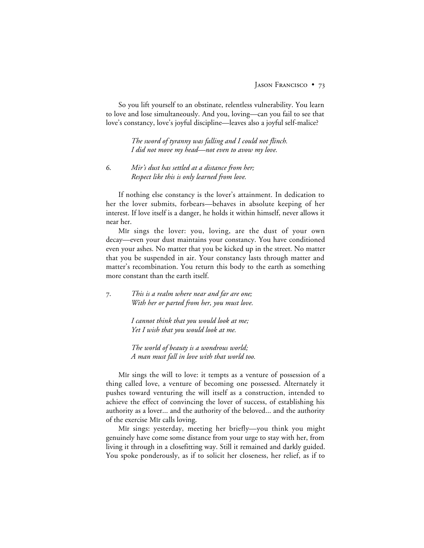So you lift yourself to an obstinate, relentless vulnerability. You learn to love and lose simultaneously. And you, loving—can you fail to see that love's constancy, love's joyful discipline—leaves also a joyful self-malice?

> *The sword of tyranny was falling and I could not flinch. I did not move my head—not even to avow my love.*

. *Mir's dust has settled at a distance from her; Respect like this is only learned from love.*

If nothing else constancy is the lover's attainment. In dedication to her the lover submits, forbears—behaves in absolute keeping of her interest. If love itself is a danger, he holds it within himself, never allows it near her.

Mir sings the lover: you, loving, are the dust of your own decay—even your dust maintains your constancy. You have conditioned even your ashes. No matter that you be kicked up in the street. No matter that you be suspended in air. Your constancy lasts through matter and matter's recombination. You return this body to the earth as something more constant than the earth itself.

. *This is a realm where near and far are one; With her or parted from her, you must love.*

> *I cannot think that you would look at me; Yet I wish that you would look at me.*

*The world of beauty is a wondrous world; A man must fall in love with that world too.*

Mir sings the will to love: it tempts as a venture of possession of a thing called love, a venture of becoming one possessed. Alternately it pushes toward venturing the will itself as a construction, intended to achieve the effect of convincing the lover of success, of establishing his authority as a lover... and the authority of the beloved... and the authority of the exercise Mir calls loving.

Mir sings: yesterday, meeting her briefly—you think you might genuinely have come some distance from your urge to stay with her, from living it through in a closefitting way. Still it remained and darkly guided. You spoke ponderously, as if to solicit her closeness, her relief, as if to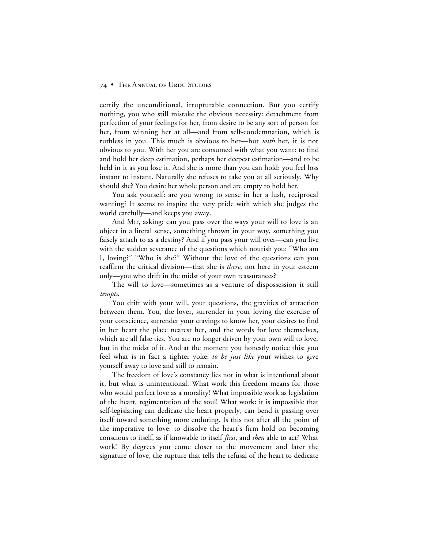certify the unconditional, irrupturable connection. But you certify nothing, you who still mistake the obvious necessity: detachment from perfection of your feelings for her, from desire to be any sort of person for her, from winning her at all—and from self-condemnation, which is ruthless in you. This much is obvious to her—but *with* her, it is not obvious to you. With her you are consumed with what you want: to find and hold her deep estimation, perhaps her deepest estimation—and to be held in it as you lose it. And she is more than you can hold: you feel loss instant to instant. Naturally she refuses to take you at all seriously. Why should she? You desire her whole person and are empty to hold her.

You ask yourself: are you wrong to sense in her a lush, reciprocal wanting? It seems to inspire the very pride with which she judges the world carefully—and keeps you away.

And Mir, asking: can you pass over the ways your will to love is an object in a literal sense, something thrown in your way, something you falsely attach to as a destiny? And if you pass your will over—can you live with the sudden severance of the questions which nourish you: "Who am I, loving?" "Who is she?" Without the love of the questions can you reaffirm the critical division—that she is *there*, not here in your esteem only—you who drift in the midst of your own reassurances?

The will to love—sometimes as a venture of dispossession it still *tempts*.

You drift with your will, your questions, the gravities of attraction between them. You, the lover, surrender in your loving the exercise of your conscience, surrender your cravings to know her, your desires to find in her heart the place nearest her, and the words for love themselves, which are all false ties. You are no longer driven by your own will to love, but in the midst of it. And at the moment you honestly notice this: you feel what is in fact a tighter yoke: *to be just like* your wishes to give yourself away to love and still to remain.

The freedom of love's constancy lies not in what is intentional about it, but what is unintentional. What work this freedom means for those who would perfect love as a morality! What impossible work as legislation of the heart, regimentation of the soul! What work: it is impossible that self-legislating can dedicate the heart properly, can bend it passing over itself toward something more enduring. Is this not after all the point of the imperative to love: to dissolve the heart's firm hold on becoming conscious to itself, as if knowable to itself *first*, and *then* able to act? What work! By degrees you come closer to the movement and later the signature of love, the rupture that tells the refusal of the heart to dedicate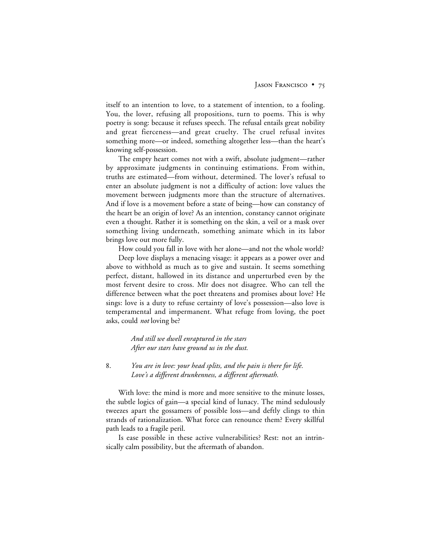itself to an intention to love, to a statement of intention, to a fooling. You, the lover, refusing all propositions, turn to poems. This is why poetry is song: because it refuses speech. The refusal entails great nobility and great fierceness—and great cruelty. The cruel refusal invites something more—or indeed, something altogether less—than the heart's knowing self-possession.

The empty heart comes not with a swift, absolute judgment—rather by approximate judgments in continuing estimations. From within, truths are estimated—from without, determined. The lover's refusal to enter an absolute judgment is not a difficulty of action: love values the movement between judgments more than the structure of alternatives. And if love is a movement before a state of being—how can constancy of the heart be an origin of love? As an intention, constancy cannot originate even a thought. Rather it is something on the skin, a veil or a mask over something living underneath, something animate which in its labor brings love out more fully.

How could you fall in love with her alone—and not the whole world?

Deep love displays a menacing visage: it appears as a power over and above to withhold as much as to give and sustain. It seems something perfect, distant, hallowed in its distance and unperturbed even by the most fervent desire to cross. Mir does not disagree. Who can tell the difference between what the poet threatens and promises about love? He sings: love is a duty to refuse certainty of love's possession—also love is temperamental and impermanent. What refuge from loving, the poet asks, could *not* loving be?

> *And still we dwell enraptured in the stars After our stars have ground us in the dust.*

# . *You are in love: your head splits, and the pain is there for life. Love's a different drunkenness, a different aftermath.*

With love: the mind is more and more sensitive to the minute losses, the subtle logics of gain—a special kind of lunacy. The mind sedulously tweezes apart the gossamers of possible loss—and deftly clings to thin strands of rationalization. What force can renounce them? Every skillful path leads to a fragile peril.

Is ease possible in these active vulnerabilities? Rest: not an intrinsically calm possibility, but the aftermath of abandon.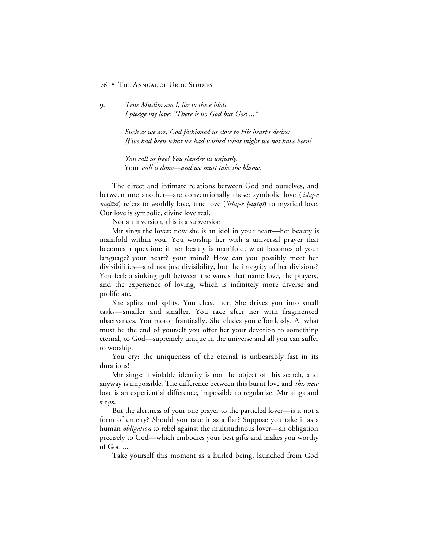. *True Muslim am I, for to these idols I pledge my love: "There is no God but God ..."*

> *Such as we are, God fashioned us close to His heart's desire: If we had been what we had wished what might we not have been!*

*You call us free? You slander us unjustly.* Your *will is done—and we must take the blame.*

The direct and intimate relations between God and ourselves, and between one another—are conventionally these: symbolic love ('ishq-e' *majāzi*) refers to worldly love, true love ('*ishq-e haqīqī*) to mystical love. Our love is symbolic, divine love real.

Not an inversion, this is a subversion.

Mir sings the lover: now she is an idol in your heart—her beauty is manifold within you. You worship her with a universal prayer that becomes a question: if her beauty is manifold, what becomes of your language? your heart? your mind? How can you possibly meet her divisibilities—and not just divisibility, but the integrity of her divisions? You feel: a sinking gulf between the words that name love, the prayers, and the experience of loving, which is infinitely more diverse and proliferate.

She splits and splits. You chase her. She drives you into small tasks—smaller and smaller. You race after her with fragmented observances. You motor frantically. She eludes you effortlessly. At what must be the end of yourself you offer her your devotion to something eternal, to God—supremely unique in the universe and all you can suffer to worship.

You cry: the uniqueness of the eternal is unbearably fast in its durations!

Mir sings: inviolable identity is not the object of this search, and anyway is impossible. The difference between this burnt love and *this new* love is an experiential difference, impossible to regularize. Mir sings and sings.

But the alertness of your one prayer to the particled lover—is it not a form of cruelty? Should you take it as a fiat? Suppose you take it as a human *obligation* to rebel against the multitudinous lover—an obligation precisely to God—which embodies your best gifts and makes you worthy of  $God \dots$ 

Take yourself this moment as a hurled being, launched from God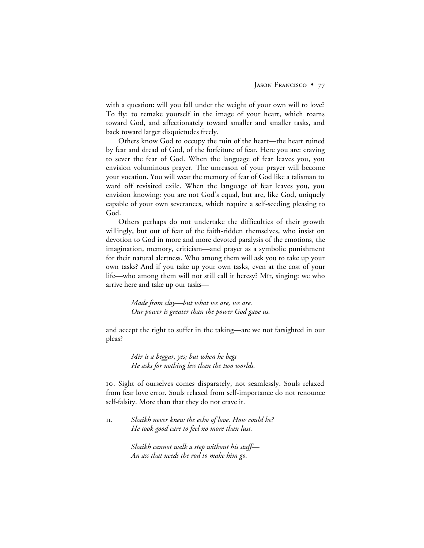with a question: will you fall under the weight of your own will to love? To fly: to remake yourself in the image of your heart, which roams toward God, and affectionately toward smaller and smaller tasks, and back toward larger disquietudes freely.

Others know God to occupy the ruin of the heart—the heart ruined by fear and dread of God, of the forfeiture of fear. Here you are: craving to sever the fear of God. When the language of fear leaves you, you envision voluminous prayer. The unreason of your prayer will become your vocation. You will wear the memory of fear of God like a talisman to ward off revisited exile. When the language of fear leaves you, you envision knowing: you are not God's equal, but are, like God, uniquely capable of your own severances, which require a self-seeding pleasing to God.

Others perhaps do not undertake the difficulties of their growth willingly, but out of fear of the faith-ridden themselves, who insist on devotion to God in more and more devoted paralysis of the emotions, the imagination, memory, criticism—and prayer as a symbolic punishment for their natural alertness. Who among them will ask you to take up your own tasks? And if you take up your own tasks, even at the cost of your life—who among them will not still call it heresy? M<sub>I</sub>r, singing: we who arrive here and take up our tasks—

> *Made from clay—but what we are, we are. Our power is greater than the power God gave us.*

and accept the right to suffer in the taking—are we not farsighted in our pleas?

> *Mir is a beggar, yes; but when he begs He asks for nothing less than the two worlds.*

. Sight of ourselves comes disparately, not seamlessly. Souls relaxed from fear love error. Souls relaxed from self-importance do not renounce self-falsity. More than that they do not crave it.

. *Shaikh never knew the echo of love. How could he? He took good care to feel no more than lust.*

> *Shaikh cannot walk a step without his staff— An ass that needs the rod to make him go.*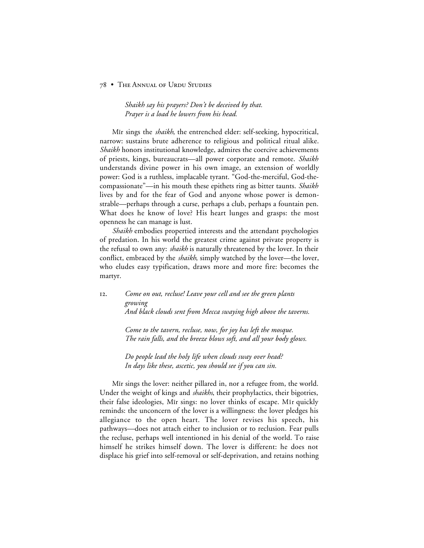*Shaikh say his prayers? Don't be deceived by that. Prayer is a load he lowers from his head.*

Mir sings the *shaikh*, the entrenched elder: self-seeking, hypocritical, narrow: sustains brute adherence to religious and political ritual alike. *Shaikh* honors institutional knowledge, admires the coercive achievements of priests, kings, bureaucrats—all power corporate and remote. *Shaikh* understands divine power in his own image, an extension of worldly power: God is a ruthless, implacable tyrant. "God-the-merciful, God-thecompassionate"—in his mouth these epithets ring as bitter taunts. *Shaikh* lives by and for the fear of God and anyone whose power is demonstrable—perhaps through a curse, perhaps a club, perhaps a fountain pen. What does he know of love? His heart lunges and grasps: the most openness he can manage is lust.

*Shaikh* embodies propertied interests and the attendant psychologies of predation. In his world the greatest crime against private property is the refusal to own any: *shaikh* is naturally threatened by the lover. In their conflict, embraced by the *shaikh*, simply watched by the lover—the lover, who eludes easy typification, draws more and more fire: becomes the martyr.

. *Come on out, recluse! Leave your cell and see the green plants growing And black clouds sent from Mecca swaying high above the taverns.*

> *Come to the tavern, recluse, now, for joy has left the mosque. The rain falls, and the breeze blows soft, and all your body glows.*

*Do people lead the holy life when clouds sway over head? In days like these, ascetic, you should see if you can sin.*

Mir sings the lover: neither pillared in, nor a refugee from, the world. Under the weight of kings and *shaikhs*, their prophylactics, their bigotries, their false ideologies, Mir sings: no lover thinks of escape. Mir quickly reminds: the unconcern of the lover is a willingness: the lover pledges his allegiance to the open heart. The lover revises his speech, his pathways—does not attach either to inclusion or to reclusion. Fear pulls the recluse, perhaps well intentioned in his denial of the world. To raise himself he strikes himself down. The lover is different: he does not displace his grief into self-removal or self-deprivation, and retains nothing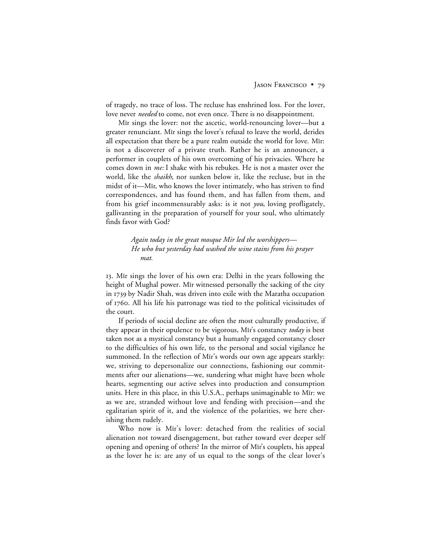of tragedy, no trace of loss. The recluse has enshrined loss. For the lover, love never *needed* to come, not even once. There is no disappointment.

Mir sings the lover: not the ascetic, world-renouncing lover—but a greater renunciant. Mir sings the lover's refusal to leave the world, derides all expectation that there be a pure realm outside the world for love. Mir: is not a discoverer of a private truth. Rather he is an announcer, a performer in couplets of his own overcoming of his privacies. Where he comes down in *me:* I shake with his rebukes. He is not a master over the world, like the *shaikh*, nor sunken below it, like the recluse, but in the midst of it—Mīr, who knows the lover intimately, who has striven to find correspondences, and has found them, and has fallen from them, and from his grief incommensurably asks: is it not *you*, loving profligately, gallivanting in the preparation of yourself for your soul, who ultimately finds favor with God?

> *Again today in the great mosque Mir led the worshippers— He who but yesterday had washed the wine stains from his prayer mat.*

13. Mir sings the lover of his own era: Delhi in the years following the height of Mughal power. Mir witnessed personally the sacking of the city in 1739 by Nadir Shah, was driven into exile with the Maratha occupation of 1760. All his life his patronage was tied to the political vicissitudes of the court.

If periods of social decline are often the most culturally productive, if they appear in their opulence to be vigorous, Mir's constancy *today* is best taken not as a mystical constancy but a humanly engaged constancy closer to the difficulties of his own life, to the personal and social vigilance he summoned. In the reflection of Mir's words our own age appears starkly: we, striving to depersonalize our connections, fashioning our commitments after our alienations—we, sundering what might have been whole hearts, segmenting our active selves into production and consumption units. Here in this place, in this U.S.A., perhaps unimaginable to Mir: we as we are, stranded without love and fending with precision—and the egalitarian spirit of it, and the violence of the polarities, we here cherishing them rudely.

Who now is Mir's lover: detached from the realities of social alienation not toward disengagement, but rather toward ever deeper self opening and opening of others? In the mirror of Mir's couplets, his appeal as the lover he is: are any of us equal to the songs of the clear lover's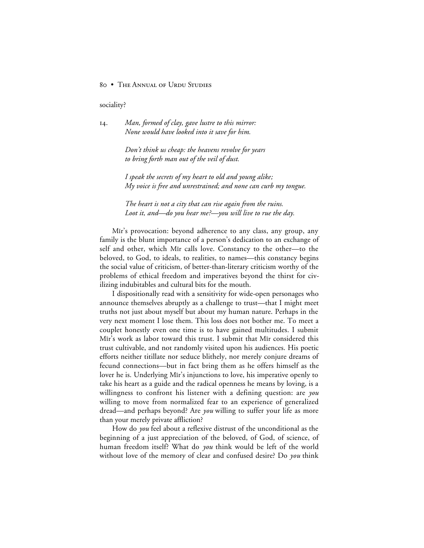sociality?

. *Man, formed of clay, gave lustre to this mirror: None would have looked into it save for him.*

> *Don't think us cheap: the heavens revolve for years to bring forth man out of the veil of dust.*

*I speak the secrets of my heart to old and young alike; My voice is free and unrestrained; and none can curb my tongue.*

*The heart is not a city that can rise again from the ruins. Loot it, and—do you hear me?—you will live to rue the day.*

Mir's provocation: beyond adherence to any class, any group, any family is the blunt importance of a person's dedication to an exchange of self and other, which Mir calls love. Constancy to the other—to the beloved, to God, to ideals, to realities, to names—this constancy begins the social value of criticism, of better-than-literary criticism worthy of the problems of ethical freedom and imperatives beyond the thirst for civilizing indubitables and cultural bits for the mouth.

I dispositionally read with a sensitivity for wide-open personages who announce themselves abruptly as a challenge to trust—that I might meet truths not just about myself but about my human nature. Perhaps in the very next moment I lose them. This loss does not bother me. To meet a couplet honestly even one time is to have gained multitudes. I submit Mir's work as labor toward this trust. I submit that Mir considered this trust cultivable, and not randomly visited upon his audiences. His poetic efforts neither titillate nor seduce blithely, nor merely conjure dreams of fecund connections—but in fact bring them as he offers himself as the lover he is. Underlying Mir's injunctions to love, his imperative openly to take his heart as a guide and the radical openness he means by loving, is a willingness to confront his listener with a defining question: are *you* willing to move from normalized fear to an experience of generalized dread—and perhaps beyond? Are *you* willing to suffer your life as more than your merely private affliction?

How do *you* feel about a reflexive distrust of the unconditional as the beginning of a just appreciation of the beloved, of God, of science, of human freedom itself? What do *you* think would be left of the world without love of the memory of clear and confused desire? Do *you* think